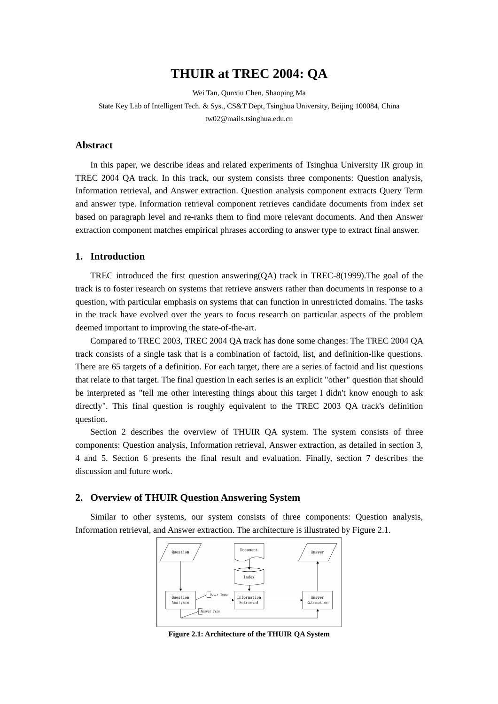# **THUIR at TREC 2004: QA**

Wei Tan, Qunxiu Chen, Shaoping Ma

State Key Lab of Intelligent Tech. & Sys., CS&T Dept, Tsinghua University, Beijing 100084, China tw02@mails.tsinghua.edu.cn

### **Abstract**

In this paper, we describe ideas and related experiments of Tsinghua University IR group in TREC 2004 QA track. In this track, our system consists three components: Question analysis, Information retrieval, and Answer extraction. Question analysis component extracts Query Term and answer type. Information retrieval component retrieves candidate documents from index set based on paragraph level and re-ranks them to find more relevant documents. And then Answer extraction component matches empirical phrases according to answer type to extract final answer.

#### **1. Introduction**

TREC introduced the first question answering(QA) track in TREC-8(1999).The goal of the track is to foster research on systems that retrieve answers rather than documents in response to a question, with particular emphasis on systems that can function in unrestricted domains. The tasks in the track have evolved over the years to focus research on particular aspects of the problem deemed important to improving the state-of-the-art.

Compared to TREC 2003, TREC 2004 QA track has done some changes: The TREC 2004 QA track consists of a single task that is a combination of factoid, list, and definition-like questions. There are 65 targets of a definition. For each target, there are a series of factoid and list questions that relate to that target. The final question in each series is an explicit "other" question that should be interpreted as "tell me other interesting things about this target I didn't know enough to ask directly". This final question is roughly equivalent to the TREC 2003 QA track's definition question.

Section 2 describes the overview of THUIR QA system. The system consists of three components: Question analysis, Information retrieval, Answer extraction, as detailed in section 3, 4 and 5. Section 6 presents the final result and evaluation. Finally, section 7 describes the discussion and future work.

## **2. Overview of THUIR Question Answering System**

Similar to other systems, our system consists of three components: Question analysis, Information retrieval, and Answer extraction. The architecture is illustrated by Figure 2.1.



**Figure 2.1: Architecture of the THUIR QA System**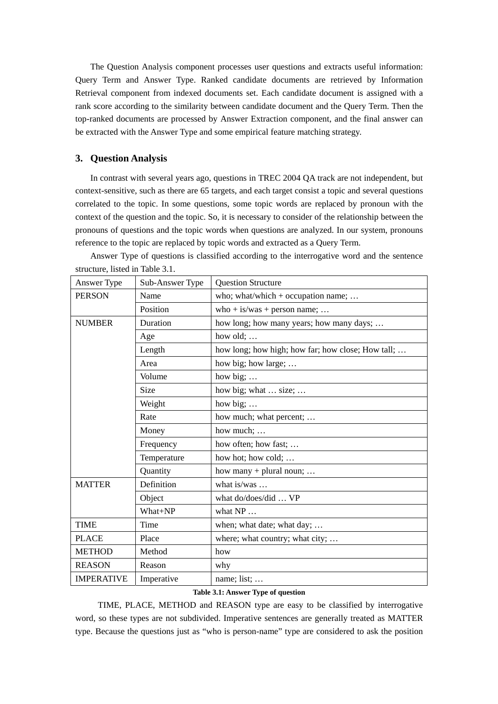The Question Analysis component processes user questions and extracts useful information: Query Term and Answer Type. Ranked candidate documents are retrieved by Information Retrieval component from indexed documents set. Each candidate document is assigned with a rank score according to the similarity between candidate document and the Query Term. Then the top-ranked documents are processed by Answer Extraction component, and the final answer can be extracted with the Answer Type and some empirical feature matching strategy.

# **3. Question Analysis**

In contrast with several years ago, questions in TREC 2004 QA track are not independent, but context-sensitive, such as there are 65 targets, and each target consist a topic and several questions correlated to the topic. In some questions, some topic words are replaced by pronoun with the context of the question and the topic. So, it is necessary to consider of the relationship between the pronouns of questions and the topic words when questions are analyzed. In our system, pronouns reference to the topic are replaced by topic words and extracted as a Query Term.

| Answer Type       | Sub-Answer Type | <b>Question Structure</b>                         |  |  |
|-------------------|-----------------|---------------------------------------------------|--|--|
| <b>PERSON</b>     | Name            | who; what/which + occupation name;                |  |  |
|                   | Position        | who + is/was + person name;                       |  |  |
| <b>NUMBER</b>     | Duration        | how long; how many years; how many days;          |  |  |
|                   | Age             | how old;                                          |  |  |
|                   | Length          | how long; how high; how far; how close; How tall; |  |  |
|                   | Area            | how big; how large;                               |  |  |
|                   | Volume          | how big;                                          |  |  |
|                   | Size            | how big; what  size;                              |  |  |
|                   | Weight          | how big; $\dots$                                  |  |  |
|                   | Rate            | how much; what percent;                           |  |  |
|                   | Money           | how much;                                         |  |  |
|                   | Frequency       | how often; how fast;                              |  |  |
|                   | Temperature     | how hot; how cold;                                |  |  |
|                   | Quantity        | how many $+$ plural noun;                         |  |  |
| <b>MATTER</b>     | Definition      | what is/was $\dots$                               |  |  |
|                   | Object          | what do/does/did  VP                              |  |  |
|                   | What+NP         | what NP                                           |  |  |
| <b>TIME</b>       | Time            | when; what date; what day;                        |  |  |
| <b>PLACE</b>      | Place           | where; what country; what city;                   |  |  |
| <b>METHOD</b>     | Method          | how                                               |  |  |
| <b>REASON</b>     | Reason          | why                                               |  |  |
| <b>IMPERATIVE</b> | Imperative      | name; list;                                       |  |  |

Answer Type of questions is classified according to the interrogative word and the sentence structure, listed in Table 3.1.

#### **Table 3.1: Answer Type of question**

TIME, PLACE, METHOD and REASON type are easy to be classified by interrogative word, so these types are not subdivided. Imperative sentences are generally treated as MATTER type. Because the questions just as "who is person-name" type are considered to ask the position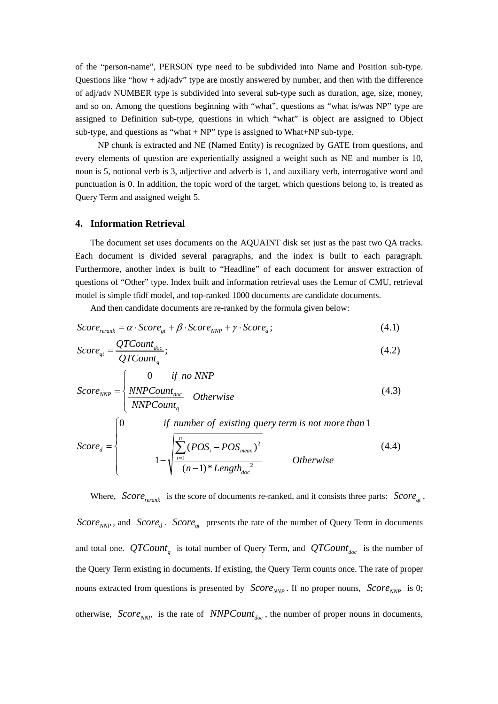of the "person-name", PERSON type need to be subdivided into Name and Position sub-type. Questions like "how + adj/adv" type are mostly answered by number, and then with the difference of adj/adv NUMBER type is subdivided into several sub-type such as duration, age, size, money, and so on. Among the questions beginning with "what", questions as "what is/was NP" type are assigned to Definition sub-type, questions in which "what" is object are assigned to Object sub-type, and questions as "what + NP" type is assigned to What+NP sub-type.

NP chunk is extracted and NE (Named Entity) is recognized by GATE from questions, and every elements of question are experientially assigned a weight such as NE and number is 10, noun is 5, notional verb is 3, adjective and adverb is 1, and auxiliary verb, interrogative word and punctuation is 0. In addition, the topic word of the target, which questions belong to, is treated as Query Term and assigned weight 5.

### **4. Information Retrieval**

The document set uses documents on the AQUAINT disk set just as the past two QA tracks. Each document is divided several paragraphs, and the index is built to each paragraph. Furthermore, another index is built to "Headline" of each document for answer extraction of questions of "Other" type. Index built and information retrieval uses the Lemur of CMU, retrieval model is simple tfidf model, and top-ranked 1000 documents are candidate documents.

And then candidate documents are re-ranked by the formula given below:

$$
Score_{\text{rerank}} = \alpha \cdot Score_{qt} + \beta \cdot Score_{\text{NNP}} + \gamma \cdot Score_{d}; \tag{4.1}
$$

$$
Score_{qt} = \frac{QTCount_{doc}}{QTCount_{q}};
$$
\n(4.2)

$$
Score_{NNP} = \begin{cases} 0 & \text{if no NNP} \\ \frac{NNPCount_{doc}}{NNPCount_q} & \text{Otherwise} \\ 0 & \text{if number of existing query term is not more than 1} \end{cases} (4.3)
$$

$$
Score_d = \left\{\n\begin{array}{c}\n1 - \sqrt{\sum_{i=1}^{n} (POS_i - POS_{mean})^2} \\
1 - \sqrt{\frac{\sum_{i=1}^{n} (POS_i - POS_{mean})^2}{(n-1)^* Length_{doc}^2}}\n\end{array}\n\right.\n\tag{4.4}
$$

Where, *Score*  $_{rerank}$  is the score of documents re-ranked, and it consists three parts: *Score*  $_{at}$ , *Score*<sub>NNP</sub>, and *Score*<sub>d</sub>. *Score*<sub>at</sub> presents the rate of the number of Query Term in documents and total one.  $QTCount_{q}$  is total number of Query Term, and  $QTCount_{doc}$  is the number of the Query Term existing in documents. If existing, the Query Term counts once. The rate of proper nouns extracted from questions is presented by  $Score_{NNP}$ . If no proper nouns,  $Score_{NNP}$  is 0; otherwise,  $Score_{NNP}$  is the rate of *NNPCount<sub>doc</sub>*, the number of proper nouns in documents,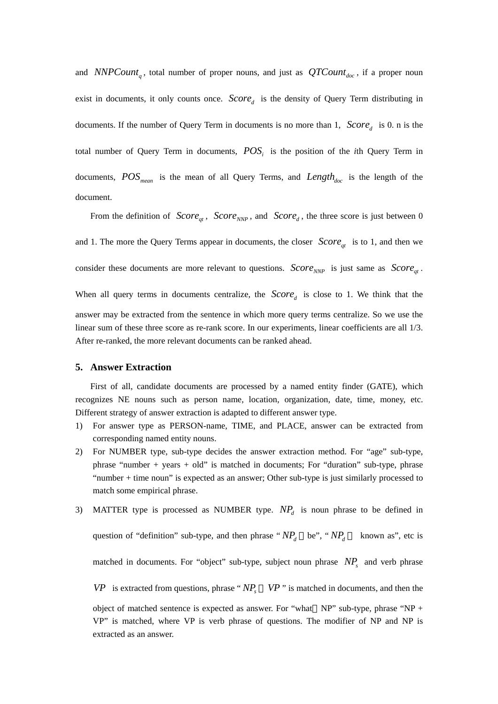and *NNPCount<sub>a</sub>*, total number of proper nouns, and just as  $QTCount_{doc}$ , if a proper noun exist in documents, it only counts once.  $Score<sub>d</sub>$  is the density of Query Term distributing in documents. If the number of Query Term in documents is no more than 1,  $Score<sub>d</sub>$  is 0. n is the total number of Query Term in documents,  $POS<sub>i</sub>$  is the position of the *i*th Query Term in documents,  $POS_{mean}$  is the mean of all Query Terms, and  $Length_{doc}$  is the length of the document.

From the definition of  $Score_{at}$ ,  $Score_{NNP}$ , and  $Score_{d}$ , the three score is just between 0 and 1. The more the Query Terms appear in documents, the closer  $Score_{at}$  is to 1, and then we consider these documents are more relevant to questions. *Score* <sub>*NNP*</sub> is just same as *Score*<sub>*at*</sub>. When all query terms in documents centralize, the  $Score<sub>d</sub>$  is close to 1. We think that the answer may be extracted from the sentence in which more query terms centralize. So we use the linear sum of these three score as re-rank score. In our experiments, linear coefficients are all 1/3. After re-ranked, the more relevant documents can be ranked ahead.

#### **5. Answer Extraction**

First of all, candidate documents are processed by a named entity finder (GATE), which recognizes NE nouns such as person name, location, organization, date, time, money, etc. Different strategy of answer extraction is adapted to different answer type.

- 1) For answer type as PERSON-name, TIME, and PLACE, answer can be extracted from corresponding named entity nouns.
- 2) For NUMBER type, sub-type decides the answer extraction method. For "age" sub-type, phrase "number + years + old" is matched in documents; For "duration" sub-type, phrase "number + time noun" is expected as an answer; Other sub-type is just similarly processed to match some empirical phrase.
- 3) MATTER type is processed as NUMBER type.  $NP<sub>d</sub>$  is noun phrase to be defined in question of "definition" sub-type, and then phrase " $NP_d$  be", " $NP_d$  known as", etc is matched in documents. For "object" sub-type, subject noun phrase NP<sub>s</sub> and verb phrase *VP* is extracted from questions, phrase " $NP<sub>s</sub>$  *VP*" is matched in documents, and then the object of matched sentence is expected as answer. For "what NP" sub-type, phrase "NP + VP" is matched, where VP is verb phrase of questions. The modifier of NP and NP is extracted as an answer.